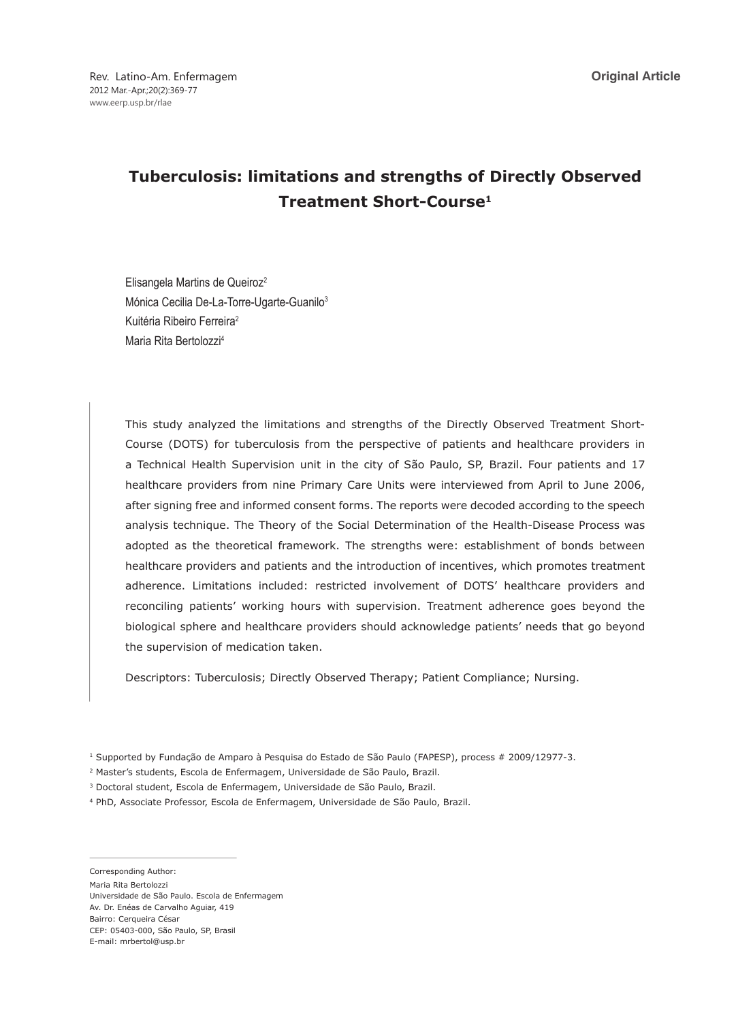# **Tuberculosis: limitations and strengths of Directly Observed Treatment Short-Course1**

Elisangela Martins de Queiroz2 Mónica Cecilia De-La-Torre-Ugarte-Guanilo<sup>3</sup> Kuitéria Ribeiro Ferreira2 Maria Rita Bertolozzi4

This study analyzed the limitations and strengths of the Directly Observed Treatment Short-Course (DOTS) for tuberculosis from the perspective of patients and healthcare providers in a Technical Health Supervision unit in the city of São Paulo, SP, Brazil. Four patients and 17 healthcare providers from nine Primary Care Units were interviewed from April to June 2006, after signing free and informed consent forms. The reports were decoded according to the speech analysis technique. The Theory of the Social Determination of the Health-Disease Process was adopted as the theoretical framework. The strengths were: establishment of bonds between healthcare providers and patients and the introduction of incentives, which promotes treatment adherence. Limitations included: restricted involvement of DOTS' healthcare providers and reconciling patients' working hours with supervision. Treatment adherence goes beyond the biological sphere and healthcare providers should acknowledge patients' needs that go beyond the supervision of medication taken.

Descriptors: Tuberculosis; Directly Observed Therapy; Patient Compliance; Nursing.

1 Supported by Fundação de Amparo à Pesquisa do Estado de São Paulo (FAPESP), process # 2009/12977-3.

- 2 Master's students, Escola de Enfermagem, Universidade de São Paulo, Brazil.
- 3 Doctoral student, Escola de Enfermagem, Universidade de São Paulo, Brazil.
- 4 PhD, Associate Professor, Escola de Enfermagem, Universidade de São Paulo, Brazil.

Corresponding Author:

Maria Rita Bertolozzi

Universidade de São Paulo. Escola de Enfermagem Av. Dr. Enéas de Carvalho Aguiar, 419 Bairro: Cerqueira César CEP: 05403-000, São Paulo, SP, Brasil E-mail: mrbertol@usp.br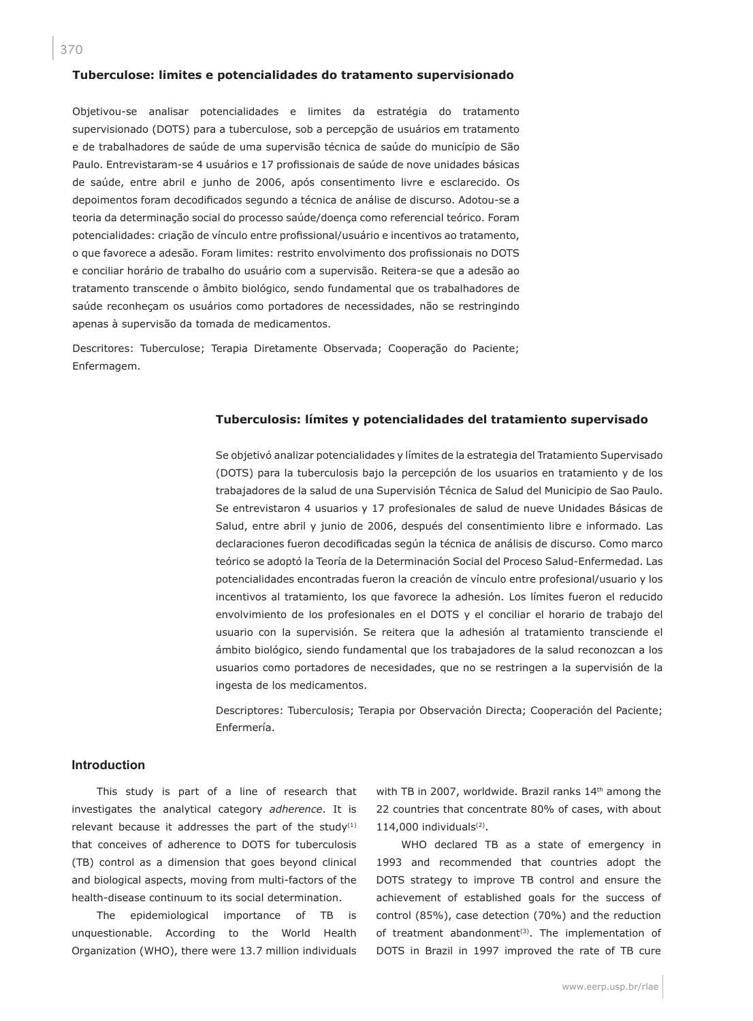#### **Tuberculose: limites e potencialidades do tratamento supervisionado**

Objetivou-se analisar potencialidades e limites da estratégia do tratamento supervisionado (DOTS) para a tuberculose, sob a percepção de usuários em tratamento e de trabalhadores de saúde de uma supervisão técnica de saúde do município de São Paulo. Entrevistaram-se 4 usuários e 17 profissionais de saúde de nove unidades básicas de saúde, entre abril e junho de 2006, após consentimento livre e esclarecido. Os depoimentos foram decodificados segundo a técnica de análise de discurso. Adotou-se a teoria da determinação social do processo saúde/doença como referencial teórico. Foram potencialidades: criação de vínculo entre profissional/usuário e incentivos ao tratamento, o que favorece a adesão. Foram limites: restrito envolvimento dos profissionais no DOTS e conciliar horário de trabalho do usuário com a supervisão. Reitera-se que a adesão ao tratamento transcende o âmbito biológico, sendo fundamental que os trabalhadores de saúde reconheçam os usuários como portadores de necessidades, não se restringindo apenas à supervisão da tomada de medicamentos.

Descritores: Tuberculose; Terapia Diretamente Observada; Cooperação do Paciente; Enfermagem.

#### **Tuberculosis: límites y potencialidades del tratamiento supervisado**

Se objetivó analizar potencialidades y límites de la estrategia del Tratamiento Supervisado (DOTS) para la tuberculosis bajo la percepción de los usuarios en tratamiento y de los trabajadores de la salud de una Supervisión Técnica de Salud del Municipio de Sao Paulo. Se entrevistaron 4 usuarios y 17 profesionales de salud de nueve Unidades Básicas de Salud, entre abril y junio de 2006, después del consentimiento libre e informado. Las declaraciones fueron decodificadas según la técnica de análisis de discurso. Como marco teórico se adoptó la Teoría de la Determinación Social del Proceso Salud-Enfermedad. Las potencialidades encontradas fueron la creación de vínculo entre profesional/usuario y los incentivos al tratamiento, los que favorece la adhesión. Los límites fueron el reducido envolvimiento de los profesionales en el DOTS y el conciliar el horario de trabajo del usuario con la supervisión. Se reitera que la adhesión al tratamiento transciende el ámbito biológico, siendo fundamental que los trabajadores de la salud reconozcan a los usuarios como portadores de necesidades, que no se restringen a la supervisión de la ingesta de los medicamentos.

Descriptores: Tuberculosis; Terapia por Observación Directa; Cooperación del Paciente; Enfermería.

#### **Introduction**

This study is part of a line of research that investigates the analytical category *adherence*. It is relevant because it addresses the part of the study $(1)$ that conceives of adherence to DOTS for tuberculosis (TB) control as a dimension that goes beyond clinical and biological aspects, moving from multi-factors of the health-disease continuum to its social determination.

The epidemiological importance of TB is unquestionable. According to the World Health Organization (WHO), there were 13.7 million individuals

with TB in 2007, worldwide. Brazil ranks 14<sup>th</sup> among the 22 countries that concentrate 80% of cases, with about  $114,000$  individuals $(2)$ .

WHO declared TB as a state of emergency in 1993 and recommended that countries adopt the DOTS strategy to improve TB control and ensure the achievement of established goals for the success of control (85%), case detection (70%) and the reduction of treatment abandonment<sup>(3)</sup>. The implementation of DOTS in Brazil in 1997 improved the rate of TB cure

www.eerp.usp.br/rlae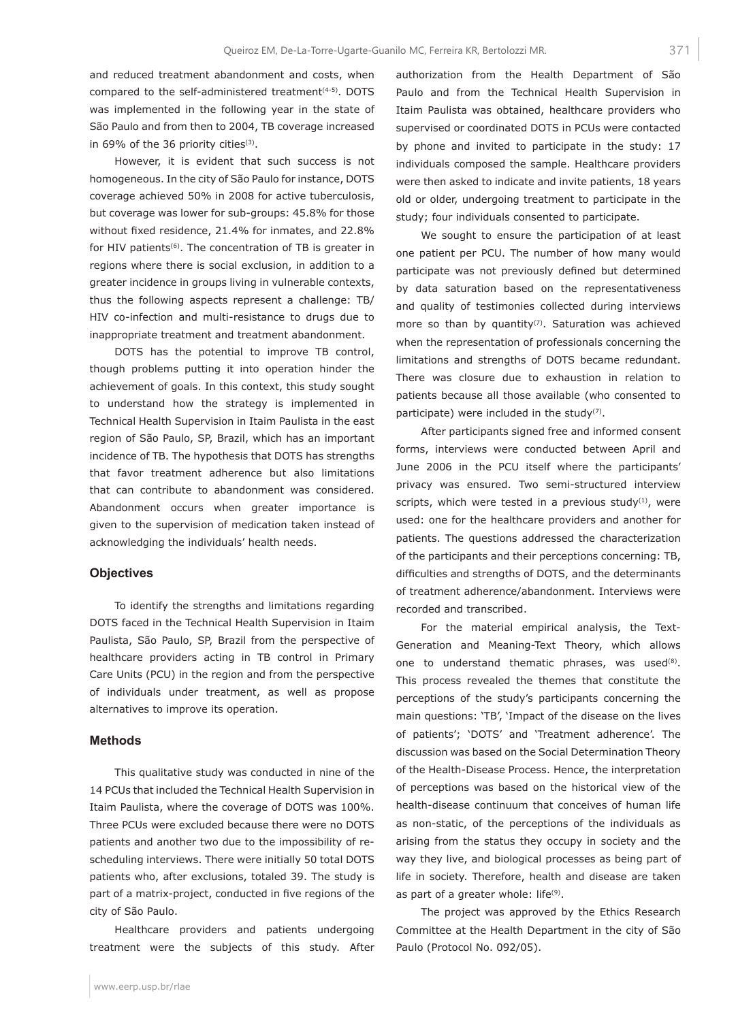and reduced treatment abandonment and costs, when compared to the self-administered treatment<sup>(4-5)</sup>. DOTS was implemented in the following year in the state of São Paulo and from then to 2004, TB coverage increased in 69% of the 36 priority cities $(3)$ .

However, it is evident that such success is not homogeneous. In the city of São Paulo for instance, DOTS coverage achieved 50% in 2008 for active tuberculosis, but coverage was lower for sub-groups: 45.8% for those without fixed residence, 21.4% for inmates, and 22.8% for HIV patients<sup>(6)</sup>. The concentration of TB is greater in regions where there is social exclusion, in addition to a greater incidence in groups living in vulnerable contexts, thus the following aspects represent a challenge: TB/ HIV co-infection and multi-resistance to drugs due to inappropriate treatment and treatment abandonment.

DOTS has the potential to improve TB control, though problems putting it into operation hinder the achievement of goals. In this context, this study sought to understand how the strategy is implemented in Technical Health Supervision in Itaim Paulista in the east region of São Paulo, SP, Brazil, which has an important incidence of TB. The hypothesis that DOTS has strengths that favor treatment adherence but also limitations that can contribute to abandonment was considered. Abandonment occurs when greater importance is given to the supervision of medication taken instead of acknowledging the individuals' health needs.

#### **Objectives**

To identify the strengths and limitations regarding DOTS faced in the Technical Health Supervision in Itaim Paulista, São Paulo, SP, Brazil from the perspective of healthcare providers acting in TB control in Primary Care Units (PCU) in the region and from the perspective of individuals under treatment, as well as propose alternatives to improve its operation.

#### **Methods**

This qualitative study was conducted in nine of the 14 PCUs that included the Technical Health Supervision in Itaim Paulista, where the coverage of DOTS was 100%. Three PCUs were excluded because there were no DOTS patients and another two due to the impossibility of rescheduling interviews. There were initially 50 total DOTS patients who, after exclusions, totaled 39. The study is part of a matrix-project, conducted in five regions of the city of São Paulo.

Healthcare providers and patients undergoing treatment were the subjects of this study. After authorization from the Health Department of São Paulo and from the Technical Health Supervision in Itaim Paulista was obtained, healthcare providers who supervised or coordinated DOTS in PCUs were contacted by phone and invited to participate in the study: 17 individuals composed the sample. Healthcare providers were then asked to indicate and invite patients, 18 years old or older, undergoing treatment to participate in the study; four individuals consented to participate.

We sought to ensure the participation of at least one patient per PCU. The number of how many would participate was not previously defined but determined by data saturation based on the representativeness and quality of testimonies collected during interviews more so than by quantity $(7)$ . Saturation was achieved when the representation of professionals concerning the limitations and strengths of DOTS became redundant. There was closure due to exhaustion in relation to patients because all those available (who consented to participate) were included in the study<sup>(7)</sup>.

After participants signed free and informed consent forms, interviews were conducted between April and June 2006 in the PCU itself where the participants' privacy was ensured. Two semi-structured interview scripts, which were tested in a previous study $<sup>(1)</sup>$ , were</sup> used: one for the healthcare providers and another for patients. The questions addressed the characterization of the participants and their perceptions concerning: TB, difficulties and strengths of DOTS, and the determinants of treatment adherence/abandonment. Interviews were recorded and transcribed.

For the material empirical analysis, the Text-Generation and Meaning-Text Theory, which allows one to understand thematic phrases, was used<sup>(8)</sup>. This process revealed the themes that constitute the perceptions of the study's participants concerning the main questions: 'TB', 'Impact of the disease on the lives of patients'; 'DOTS' and 'Treatment adherence'. The discussion was based on the Social Determination Theory of the Health-Disease Process. Hence, the interpretation of perceptions was based on the historical view of the health-disease continuum that conceives of human life as non-static, of the perceptions of the individuals as arising from the status they occupy in society and the way they live, and biological processes as being part of life in society. Therefore, health and disease are taken as part of a greater whole: life $(9)$ .

The project was approved by the Ethics Research Committee at the Health Department in the city of São Paulo (Protocol No. 092/05).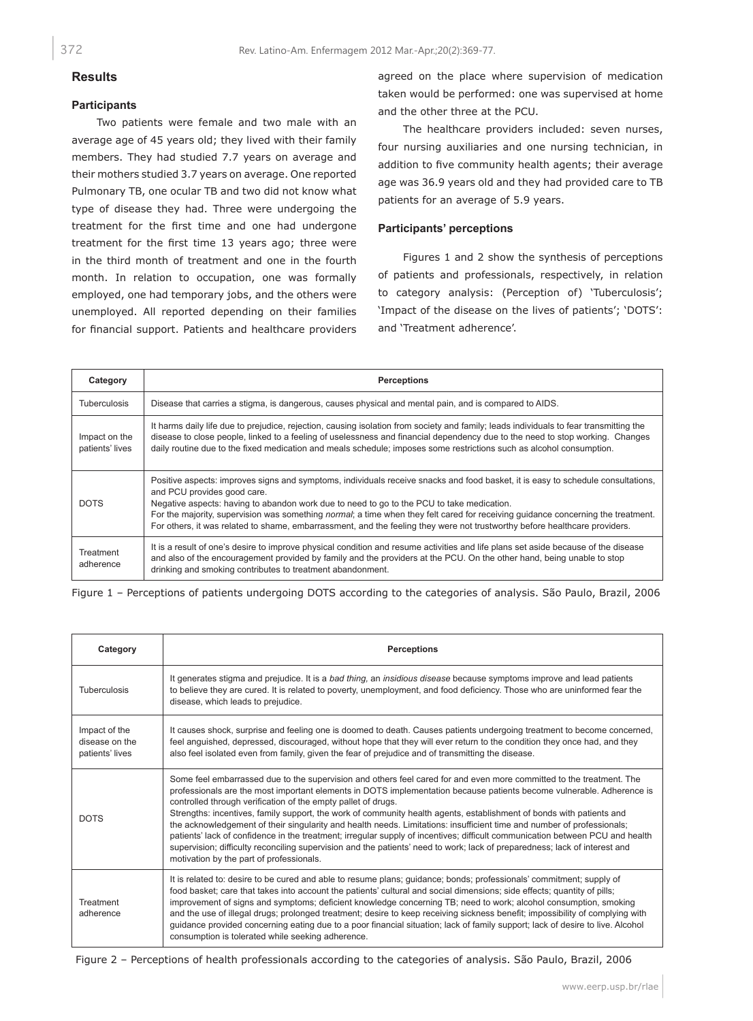## **Results**

## **Participants**

Two patients were female and two male with an average age of 45 years old; they lived with their family members. They had studied 7.7 years on average and their mothers studied 3.7 years on average. One reported Pulmonary TB, one ocular TB and two did not know what type of disease they had. Three were undergoing the treatment for the first time and one had undergone treatment for the first time 13 years ago; three were in the third month of treatment and one in the fourth month. In relation to occupation, one was formally employed, one had temporary jobs, and the others were unemployed. All reported depending on their families for financial support. Patients and healthcare providers

agreed on the place where supervision of medication taken would be performed: one was supervised at home and the other three at the PCU.

The healthcare providers included: seven nurses, four nursing auxiliaries and one nursing technician, in addition to five community health agents; their average age was 36.9 years old and they had provided care to TB patients for an average of 5.9 years.

## **Participants' perceptions**

Figures 1 and 2 show the synthesis of perceptions of patients and professionals, respectively, in relation to category analysis: (Perception of) 'Tuberculosis'; 'Impact of the disease on the lives of patients'; 'DOTS': and 'Treatment adherence'.

| Category                         | <b>Perceptions</b>                                                                                                                                                                                                                                                                                                                                                                                                                                                                                                             |
|----------------------------------|--------------------------------------------------------------------------------------------------------------------------------------------------------------------------------------------------------------------------------------------------------------------------------------------------------------------------------------------------------------------------------------------------------------------------------------------------------------------------------------------------------------------------------|
| <b>Tuberculosis</b>              | Disease that carries a stigma, is dangerous, causes physical and mental pain, and is compared to AIDS.                                                                                                                                                                                                                                                                                                                                                                                                                         |
| Impact on the<br>patients' lives | It harms daily life due to prejudice, rejection, causing isolation from society and family; leads individuals to fear transmitting the<br>disease to close people, linked to a feeling of uselessness and financial dependency due to the need to stop working. Changes<br>daily routine due to the fixed medication and meals schedule; imposes some restrictions such as alcohol consumption.                                                                                                                                |
| <b>DOTS</b>                      | Positive aspects: improves signs and symptoms, individuals receive snacks and food basket, it is easy to schedule consultations,<br>and PCU provides good care.<br>Negative aspects: having to abandon work due to need to go to the PCU to take medication.<br>For the majority, supervision was something normal; a time when they felt cared for receiving guidance concerning the treatment.<br>For others, it was related to shame, embarrassment, and the feeling they were not trustworthy before healthcare providers. |
| Treatment<br>adherence           | It is a result of one's desire to improve physical condition and resume activities and life plans set aside because of the disease<br>and also of the encouragement provided by family and the providers at the PCU. On the other hand, being unable to stop<br>drinking and smoking contributes to treatment abandonment.                                                                                                                                                                                                     |

Figure 1 – Perceptions of patients undergoing DOTS according to the categories of analysis. São Paulo, Brazil, 2006

| Category                                           | <b>Perceptions</b>                                                                                                                                                                                                                                                                                                                                                                                                                                                                                                                                                                                                                                                                                                                                                                                                                                                          |
|----------------------------------------------------|-----------------------------------------------------------------------------------------------------------------------------------------------------------------------------------------------------------------------------------------------------------------------------------------------------------------------------------------------------------------------------------------------------------------------------------------------------------------------------------------------------------------------------------------------------------------------------------------------------------------------------------------------------------------------------------------------------------------------------------------------------------------------------------------------------------------------------------------------------------------------------|
| Tuberculosis                                       | It generates stigma and prejudice. It is a bad thing, an insidious disease because symptoms improve and lead patients<br>to believe they are cured. It is related to poverty, unemployment, and food deficiency. Those who are uninformed fear the<br>disease, which leads to prejudice.                                                                                                                                                                                                                                                                                                                                                                                                                                                                                                                                                                                    |
| Impact of the<br>disease on the<br>patients' lives | It causes shock, surprise and feeling one is doomed to death. Causes patients undergoing treatment to become concerned,<br>feel anguished, depressed, discouraged, without hope that they will ever return to the condition they once had, and they<br>also feel isolated even from family, given the fear of prejudice and of transmitting the disease.                                                                                                                                                                                                                                                                                                                                                                                                                                                                                                                    |
| <b>DOTS</b>                                        | Some feel embarrassed due to the supervision and others feel cared for and even more committed to the treatment. The<br>professionals are the most important elements in DOTS implementation because patients become vulnerable. Adherence is<br>controlled through verification of the empty pallet of drugs.<br>Strengths: incentives, family support, the work of community health agents, establishment of bonds with patients and<br>the acknowledgement of their singularity and health needs. Limitations: insufficient time and number of professionals;<br>patients' lack of confidence in the treatment; irregular supply of incentives; difficult communication between PCU and health<br>supervision; difficulty reconciling supervision and the patients' need to work; lack of preparedness; lack of interest and<br>motivation by the part of professionals. |
| <b>Treatment</b><br>adherence                      | It is related to: desire to be cured and able to resume plans; guidance; bonds; professionals' commitment; supply of<br>food basket; care that takes into account the patients' cultural and social dimensions; side effects; quantity of pills;<br>improvement of signs and symptoms; deficient knowledge concerning TB; need to work; alcohol consumption, smoking<br>and the use of illegal drugs; prolonged treatment; desire to keep receiving sickness benefit; impossibility of complying with<br>guidance provided concerning eating due to a poor financial situation; lack of family support; lack of desire to live. Alcohol<br>consumption is tolerated while seeking adherence.                                                                                                                                                                                |

Figure 2 – Perceptions of health professionals according to the categories of analysis. São Paulo, Brazil, 2006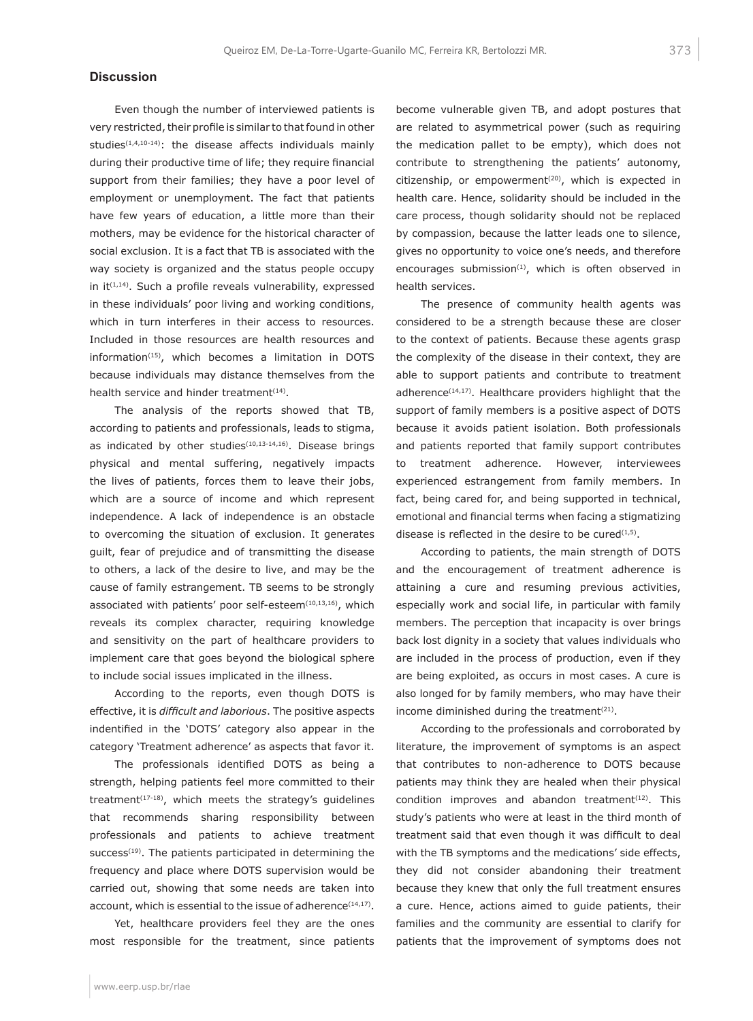## **Discussion**

Even though the number of interviewed patients is very restricted, their profile is similar to that found in other studies<sup>(1,4,10-14)</sup>: the disease affects individuals mainly during their productive time of life; they require financial support from their families; they have a poor level of employment or unemployment. The fact that patients have few years of education, a little more than their mothers, may be evidence for the historical character of social exclusion. It is a fact that TB is associated with the way society is organized and the status people occupy in it $(1,14)$ . Such a profile reveals vulnerability, expressed in these individuals' poor living and working conditions, which in turn interferes in their access to resources. Included in those resources are health resources and information<sup>(15)</sup>, which becomes a limitation in DOTS because individuals may distance themselves from the health service and hinder treatment<sup>(14)</sup>.

The analysis of the reports showed that TB, according to patients and professionals, leads to stigma, as indicated by other studies $(10,13-14,16)$ . Disease brings physical and mental suffering, negatively impacts the lives of patients, forces them to leave their jobs, which are a source of income and which represent independence. A lack of independence is an obstacle to overcoming the situation of exclusion. It generates guilt, fear of prejudice and of transmitting the disease to others, a lack of the desire to live, and may be the cause of family estrangement. TB seems to be strongly associated with patients' poor self-esteem<sup>(10,13,16)</sup>, which reveals its complex character, requiring knowledge and sensitivity on the part of healthcare providers to implement care that goes beyond the biological sphere to include social issues implicated in the illness.

According to the reports, even though DOTS is effective, it is *difficult and laborious*. The positive aspects indentified in the 'DOTS' category also appear in the category 'Treatment adherence' as aspects that favor it.

The professionals identified DOTS as being a strength, helping patients feel more committed to their treatment<sup> $(17-18)$ </sup>, which meets the strategy's quidelines that recommends sharing responsibility between professionals and patients to achieve treatment success<sup>(19)</sup>. The patients participated in determining the frequency and place where DOTS supervision would be carried out, showing that some needs are taken into account, which is essential to the issue of adherence<sup>(14,17)</sup>.

Yet, healthcare providers feel they are the ones most responsible for the treatment, since patients become vulnerable given TB, and adopt postures that are related to asymmetrical power (such as requiring the medication pallet to be empty), which does not contribute to strengthening the patients' autonomy, citizenship, or empowerment<sup> $(20)$ </sup>, which is expected in health care. Hence, solidarity should be included in the care process, though solidarity should not be replaced by compassion, because the latter leads one to silence, gives no opportunity to voice one's needs, and therefore encourages submission<sup>(1)</sup>, which is often observed in health services.

The presence of community health agents was considered to be a strength because these are closer to the context of patients. Because these agents grasp the complexity of the disease in their context, they are able to support patients and contribute to treatment adherence<sup>(14,17)</sup>. Healthcare providers highlight that the support of family members is a positive aspect of DOTS because it avoids patient isolation. Both professionals and patients reported that family support contributes to treatment adherence. However, interviewees experienced estrangement from family members. In fact, being cared for, and being supported in technical, emotional and financial terms when facing a stigmatizing disease is reflected in the desire to be cured $(1,5)$ .

According to patients, the main strength of DOTS and the encouragement of treatment adherence is attaining a cure and resuming previous activities, especially work and social life, in particular with family members. The perception that incapacity is over brings back lost dignity in a society that values individuals who are included in the process of production, even if they are being exploited, as occurs in most cases. A cure is also longed for by family members, who may have their income diminished during the treatment<sup>(21)</sup>.

According to the professionals and corroborated by literature, the improvement of symptoms is an aspect that contributes to non-adherence to DOTS because patients may think they are healed when their physical condition improves and abandon treatment $(12)$ . This study's patients who were at least in the third month of treatment said that even though it was difficult to deal with the TB symptoms and the medications' side effects, they did not consider abandoning their treatment because they knew that only the full treatment ensures a cure. Hence, actions aimed to guide patients, their families and the community are essential to clarify for patients that the improvement of symptoms does not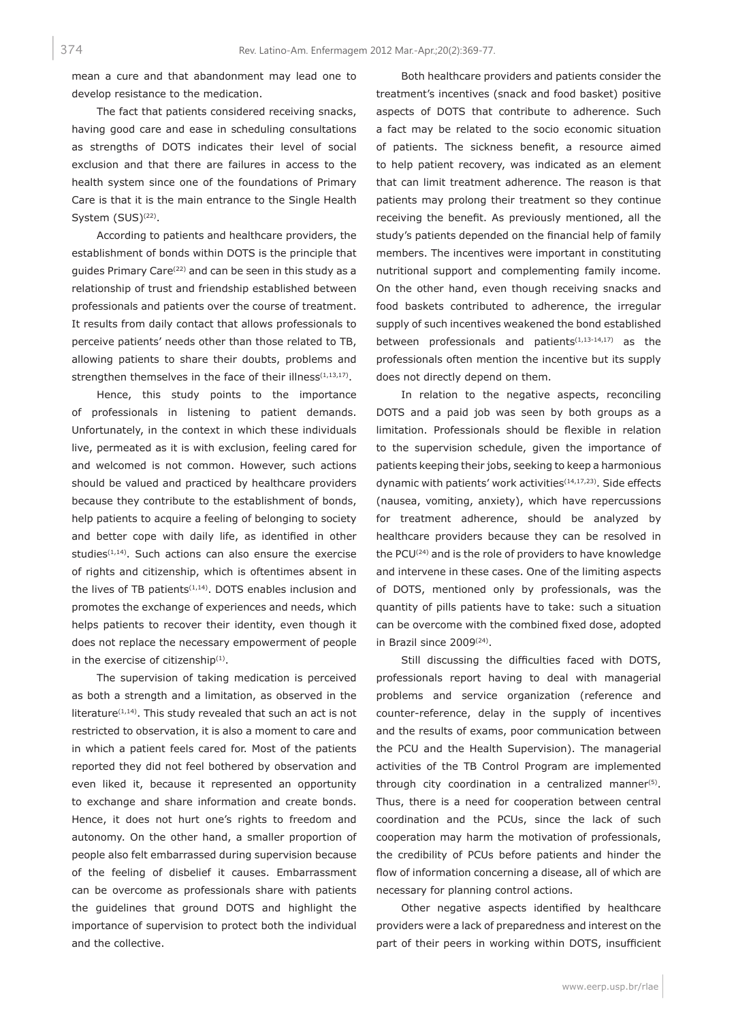mean a cure and that abandonment may lead one to develop resistance to the medication.

The fact that patients considered receiving snacks, having good care and ease in scheduling consultations as strengths of DOTS indicates their level of social exclusion and that there are failures in access to the health system since one of the foundations of Primary Care is that it is the main entrance to the Single Health System (SUS)<sup>(22)</sup>.

According to patients and healthcare providers, the establishment of bonds within DOTS is the principle that guides Primary Care(22) and can be seen in this study as a relationship of trust and friendship established between professionals and patients over the course of treatment. It results from daily contact that allows professionals to perceive patients' needs other than those related to TB, allowing patients to share their doubts, problems and strengthen themselves in the face of their illness<sup>(1,13,17)</sup>.

Hence, this study points to the importance of professionals in listening to patient demands. Unfortunately, in the context in which these individuals live, permeated as it is with exclusion, feeling cared for and welcomed is not common. However, such actions should be valued and practiced by healthcare providers because they contribute to the establishment of bonds, help patients to acquire a feeling of belonging to society and better cope with daily life, as identified in other studies $(1,14)$ . Such actions can also ensure the exercise of rights and citizenship, which is oftentimes absent in the lives of TB patients $(1,14)$ . DOTS enables inclusion and promotes the exchange of experiences and needs, which helps patients to recover their identity, even though it does not replace the necessary empowerment of people in the exercise of citizenship $(1)$ .

The supervision of taking medication is perceived as both a strength and a limitation, as observed in the literature $(1,14)$ . This study revealed that such an act is not restricted to observation, it is also a moment to care and in which a patient feels cared for. Most of the patients reported they did not feel bothered by observation and even liked it, because it represented an opportunity to exchange and share information and create bonds. Hence, it does not hurt one's rights to freedom and autonomy. On the other hand, a smaller proportion of people also felt embarrassed during supervision because of the feeling of disbelief it causes. Embarrassment can be overcome as professionals share with patients the guidelines that ground DOTS and highlight the importance of supervision to protect both the individual and the collective.

Both healthcare providers and patients consider the treatment's incentives (snack and food basket) positive aspects of DOTS that contribute to adherence. Such a fact may be related to the socio economic situation of patients. The sickness benefit, a resource aimed to help patient recovery, was indicated as an element that can limit treatment adherence. The reason is that patients may prolong their treatment so they continue receiving the benefit. As previously mentioned, all the study's patients depended on the financial help of family members. The incentives were important in constituting nutritional support and complementing family income. On the other hand, even though receiving snacks and food baskets contributed to adherence, the irregular supply of such incentives weakened the bond established between professionals and patients<sup>(1,13-14,17)</sup> as the professionals often mention the incentive but its supply does not directly depend on them.

In relation to the negative aspects, reconciling DOTS and a paid job was seen by both groups as a limitation. Professionals should be flexible in relation to the supervision schedule, given the importance of patients keeping their jobs, seeking to keep a harmonious dynamic with patients' work activities<sup>(14,17,23)</sup>. Side effects (nausea, vomiting, anxiety), which have repercussions for treatment adherence, should be analyzed by healthcare providers because they can be resolved in the PCU<sup>(24)</sup> and is the role of providers to have knowledge and intervene in these cases. One of the limiting aspects of DOTS, mentioned only by professionals, was the quantity of pills patients have to take: such a situation can be overcome with the combined fixed dose, adopted in Brazil since 2009(24).

Still discussing the difficulties faced with DOTS, professionals report having to deal with managerial problems and service organization (reference and counter-reference, delay in the supply of incentives and the results of exams, poor communication between the PCU and the Health Supervision). The managerial activities of the TB Control Program are implemented through city coordination in a centralized manner<sup>(5)</sup>. Thus, there is a need for cooperation between central coordination and the PCUs, since the lack of such cooperation may harm the motivation of professionals, the credibility of PCUs before patients and hinder the flow of information concerning a disease, all of which are necessary for planning control actions.

Other negative aspects identified by healthcare providers were a lack of preparedness and interest on the part of their peers in working within DOTS, insufficient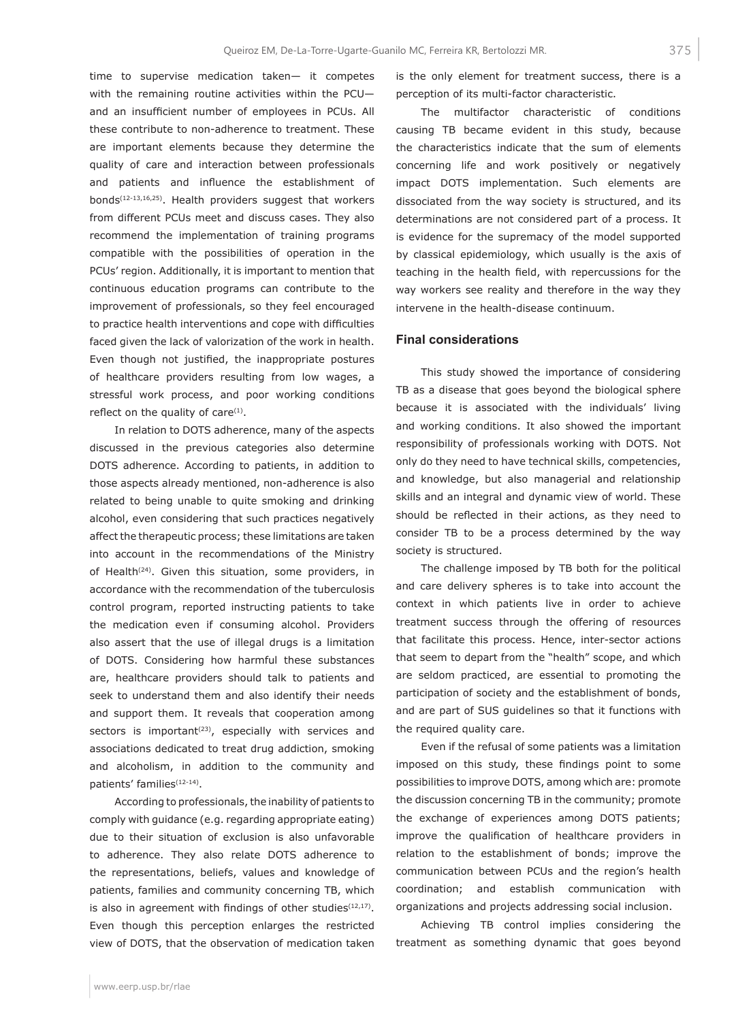time to supervise medication taken— it competes with the remaining routine activities within the PCU and an insufficient number of employees in PCUs. All these contribute to non-adherence to treatment. These are important elements because they determine the quality of care and interaction between professionals and patients and influence the establishment of bonds(12-13,16,25). Health providers suggest that workers from different PCUs meet and discuss cases. They also recommend the implementation of training programs compatible with the possibilities of operation in the PCUs' region. Additionally, it is important to mention that continuous education programs can contribute to the improvement of professionals, so they feel encouraged to practice health interventions and cope with difficulties faced given the lack of valorization of the work in health. Even though not justified, the inappropriate postures of healthcare providers resulting from low wages, a stressful work process, and poor working conditions reflect on the quality of care $(1)$ .

In relation to DOTS adherence, many of the aspects discussed in the previous categories also determine DOTS adherence. According to patients, in addition to those aspects already mentioned, non-adherence is also related to being unable to quite smoking and drinking alcohol, even considering that such practices negatively affect the therapeutic process; these limitations are taken into account in the recommendations of the Ministry of Health<sup>(24)</sup>. Given this situation, some providers, in accordance with the recommendation of the tuberculosis control program, reported instructing patients to take the medication even if consuming alcohol. Providers also assert that the use of illegal drugs is a limitation of DOTS. Considering how harmful these substances are, healthcare providers should talk to patients and seek to understand them and also identify their needs and support them. It reveals that cooperation among sectors is important $(23)$ , especially with services and associations dedicated to treat drug addiction, smoking and alcoholism, in addition to the community and patients' families<sup>(12-14)</sup>.

According to professionals, the inability of patients to comply with guidance (e.g. regarding appropriate eating) due to their situation of exclusion is also unfavorable to adherence. They also relate DOTS adherence to the representations, beliefs, values and knowledge of patients, families and community concerning TB, which is also in agreement with findings of other studies $(12,17)$ . Even though this perception enlarges the restricted view of DOTS, that the observation of medication taken is the only element for treatment success, there is a perception of its multi-factor characteristic.

The multifactor characteristic of conditions causing TB became evident in this study, because the characteristics indicate that the sum of elements concerning life and work positively or negatively impact DOTS implementation. Such elements are dissociated from the way society is structured, and its determinations are not considered part of a process. It is evidence for the supremacy of the model supported by classical epidemiology, which usually is the axis of teaching in the health field, with repercussions for the way workers see reality and therefore in the way they intervene in the health-disease continuum.

## **Final considerations**

This study showed the importance of considering TB as a disease that goes beyond the biological sphere because it is associated with the individuals' living and working conditions. It also showed the important responsibility of professionals working with DOTS. Not only do they need to have technical skills, competencies, and knowledge, but also managerial and relationship skills and an integral and dynamic view of world. These should be reflected in their actions, as they need to consider TB to be a process determined by the way society is structured.

The challenge imposed by TB both for the political and care delivery spheres is to take into account the context in which patients live in order to achieve treatment success through the offering of resources that facilitate this process. Hence, inter-sector actions that seem to depart from the "health" scope, and which are seldom practiced, are essential to promoting the participation of society and the establishment of bonds, and are part of SUS guidelines so that it functions with the required quality care.

Even if the refusal of some patients was a limitation imposed on this study, these findings point to some possibilities to improve DOTS, among which are: promote the discussion concerning TB in the community; promote the exchange of experiences among DOTS patients; improve the qualification of healthcare providers in relation to the establishment of bonds; improve the communication between PCUs and the region's health coordination; and establish communication with organizations and projects addressing social inclusion.

Achieving TB control implies considering the treatment as something dynamic that goes beyond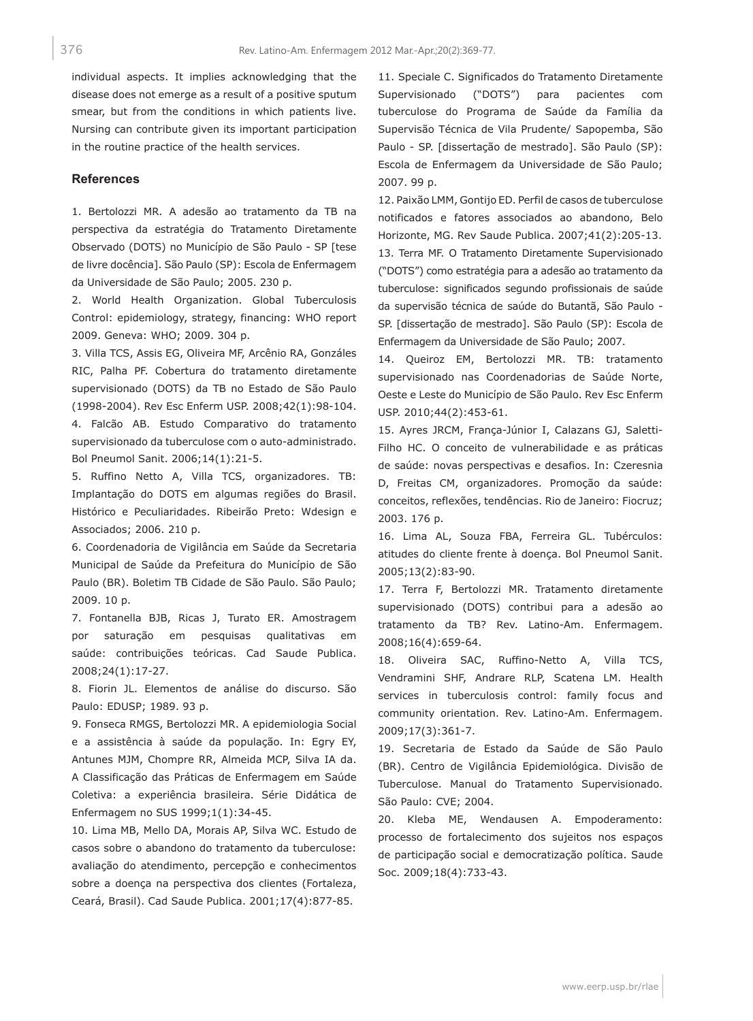individual aspects. It implies acknowledging that the disease does not emerge as a result of a positive sputum smear, but from the conditions in which patients live. Nursing can contribute given its important participation in the routine practice of the health services.

## **References**

1. Bertolozzi MR. A adesão ao tratamento da TB na perspectiva da estratégia do Tratamento Diretamente Observado (DOTS) no Município de São Paulo - SP [tese de livre docência]. São Paulo (SP): Escola de Enfermagem da Universidade de São Paulo; 2005. 230 p.

2. World Health Organization. Global Tuberculosis Control: epidemiology, strategy, financing: WHO report 2009. Geneva: WHO; 2009. 304 p.

3. Villa TCS, Assis EG, Oliveira MF, Arcênio RA, Gonzáles RIC, Palha PF. Cobertura do tratamento diretamente supervisionado (DOTS) da TB no Estado de São Paulo (1998-2004). Rev Esc Enferm USP. 2008;42(1):98-104. 4. Falcão AB. Estudo Comparativo do tratamento supervisionado da tuberculose com o auto-administrado. Bol Pneumol Sanit. 2006;14(1):21-5.

5. Ruffino Netto A, Villa TCS, organizadores. TB: Implantação do DOTS em algumas regiões do Brasil. Histórico e Peculiaridades. Ribeirão Preto: Wdesign e Associados; 2006. 210 p.

6. Coordenadoria de Vigilância em Saúde da Secretaria Municipal de Saúde da Prefeitura do Município de São Paulo (BR). Boletim TB Cidade de São Paulo. São Paulo; 2009. 10 p.

7. Fontanella BJB, Ricas J, Turato ER. Amostragem por saturação em pesquisas qualitativas em saúde: contribuições teóricas. Cad Saude Publica. 2008;24(1):17-27.

8. Fiorin JL. Elementos de análise do discurso. São Paulo: EDUSP; 1989. 93 p.

9. Fonseca RMGS, Bertolozzi MR. A epidemiologia Social e a assistência à saúde da população. In: Egry EY, Antunes MJM, Chompre RR, Almeida MCP, Silva IA da. A Classificação das Práticas de Enfermagem em Saúde Coletiva: a experiência brasileira. Série Didática de Enfermagem no SUS 1999;1(1):34-45.

10. Lima MB, Mello DA, Morais AP, Silva WC. Estudo de casos sobre o abandono do tratamento da tuberculose: avaliação do atendimento, percepção e conhecimentos sobre a doença na perspectiva dos clientes (Fortaleza, Ceará, Brasil). Cad Saude Publica. 2001;17(4):877-85.

11. Speciale C. Significados do Tratamento Diretamente Supervisionado ("DOTS") para pacientes com tuberculose do Programa de Saúde da Família da Supervisão Técnica de Vila Prudente/ Sapopemba, São Paulo - SP. [dissertação de mestrado]. São Paulo (SP): Escola de Enfermagem da Universidade de São Paulo; 2007. 99 p.

12. Paixão LMM, Gontijo ED. Perfil de casos de tuberculose notificados e fatores associados ao abandono, Belo Horizonte, MG. Rev Saude Publica. 2007;41(2):205-13. 13. Terra MF. O Tratamento Diretamente Supervisionado ("DOTS") como estratégia para a adesão ao tratamento da tuberculose: significados segundo profissionais de saúde da supervisão técnica de saúde do Butantã, São Paulo - SP. [dissertação de mestrado]. São Paulo (SP): Escola de Enfermagem da Universidade de São Paulo; 2007.

14. Queiroz EM, Bertolozzi MR. TB: tratamento supervisionado nas Coordenadorias de Saúde Norte, Oeste e Leste do Município de São Paulo. Rev Esc Enferm USP. 2010;44(2):453-61.

15. Ayres JRCM, França-Júnior I, Calazans GJ, Saletti-Filho HC. O conceito de vulnerabilidade e as práticas de saúde: novas perspectivas e desafios. In: Czeresnia D, Freitas CM, organizadores. Promoção da saúde: conceitos, reflexões, tendências. Rio de Janeiro: Fiocruz; 2003. 176 p.

16. Lima AL, Souza FBA, Ferreira GL. Tubérculos: atitudes do cliente frente à doença. Bol Pneumol Sanit. 2005;13(2):83-90.

17. Terra F, Bertolozzi MR. Tratamento diretamente supervisionado (DOTS) contribui para a adesão ao tratamento da TB? Rev. Latino-Am. Enfermagem. 2008;16(4):659-64.

18. Oliveira SAC, Ruffino-Netto A, Villa TCS, Vendramini SHF, Andrare RLP, Scatena LM. Health services in tuberculosis control: family focus and community orientation. Rev. Latino-Am. Enfermagem. 2009;17(3):361-7.

19. Secretaria de Estado da Saúde de São Paulo (BR). Centro de Vigilância Epidemiológica. Divisão de Tuberculose. Manual do Tratamento Supervisionado. São Paulo: CVE; 2004.

20. Kleba ME, Wendausen A. Empoderamento: processo de fortalecimento dos sujeitos nos espaços de participação social e democratização política. Saude Soc. 2009;18(4):733-43.